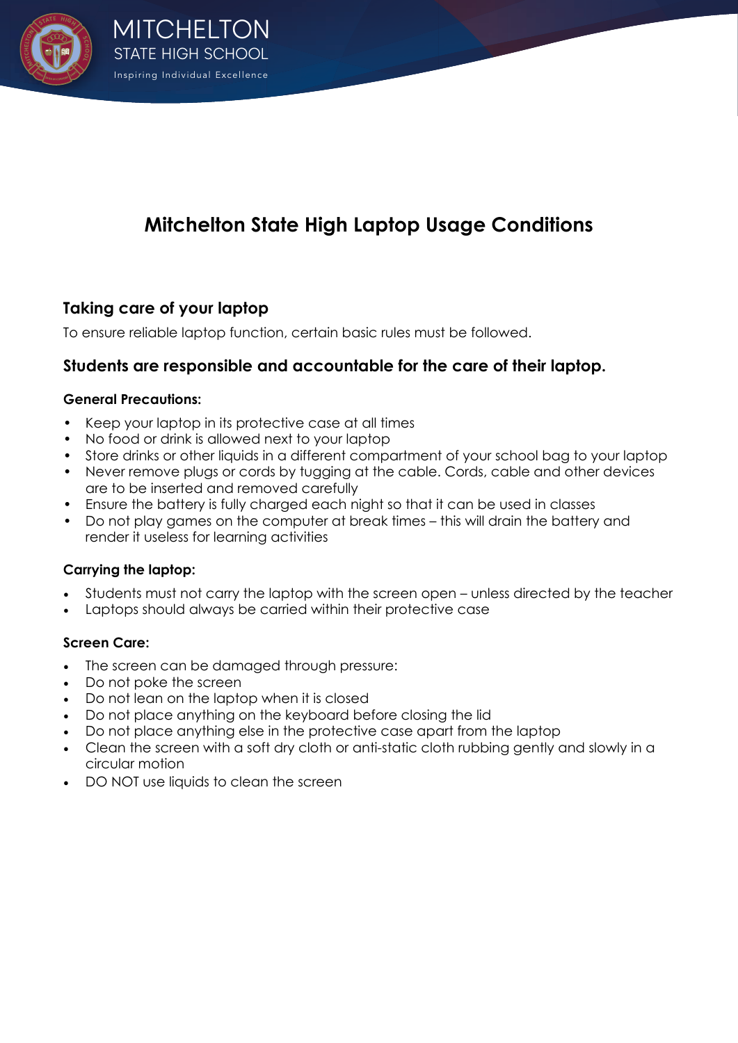

# **Mitchelton State High Laptop Usage Conditions**

# **Taking care of your laptop**

To ensure reliable laptop function, certain basic rules must be followed.

# **Students are responsible and accountable for the care of their laptop.**

#### **General Precautions:**

- Keep your laptop in its protective case at all times
- No food or drink is allowed next to your laptop
- Store drinks or other liquids in a different compartment of your school bag to your laptop
- Never remove plugs or cords by tugging at the cable. Cords, cable and other devices are to be inserted and removed carefully
- Ensure the battery is fully charged each night so that it can be used in classes
- Do not play games on the computer at break times this will drain the battery and render it useless for learning activities

# **Carrying the laptop:**

- Students must not carry the laptop with the screen open unless directed by the teacher
- Laptops should always be carried within their protective case

# **Screen Care:**

- The screen can be damaged through pressure:
- Do not poke the screen
- Do not lean on the laptop when it is closed
- Do not place anything on the keyboard before closing the lid
- Do not place anything else in the protective case apart from the laptop
- Clean the screen with a soft dry cloth or anti-static cloth rubbing gently and slowly in a circular motion
- DO NOT use liquids to clean the screen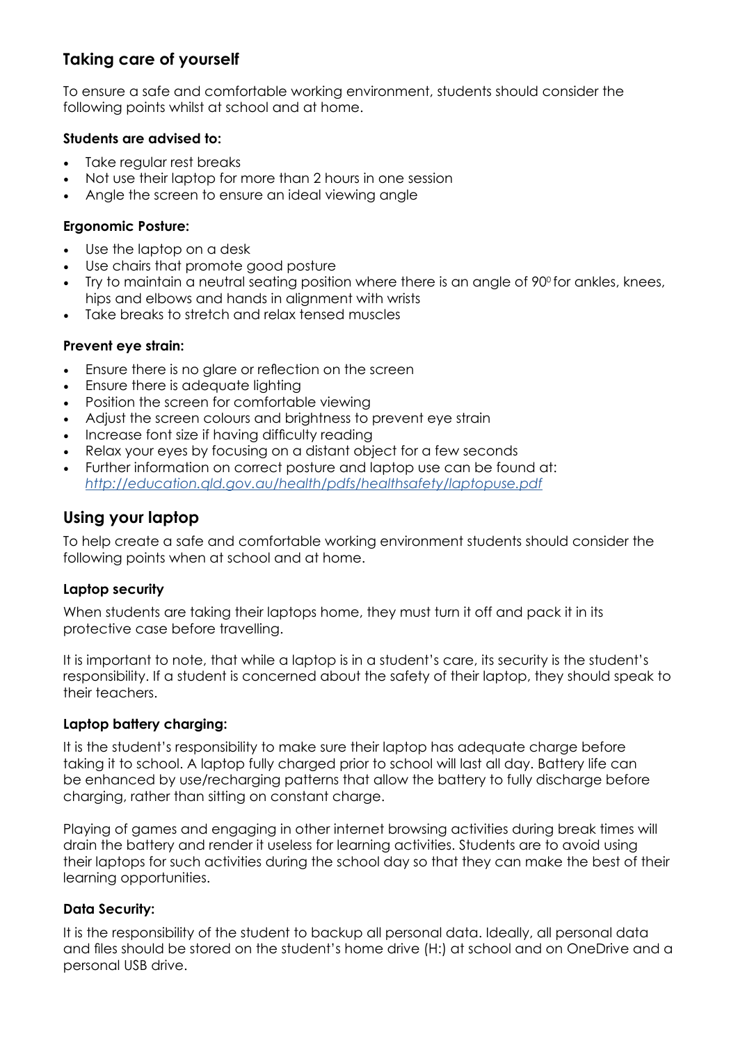# **Taking care of yourself**

To ensure a safe and comfortable working environment, students should consider the following points whilst at school and at home.

#### **Students are advised to:**

- Take regular rest breaks
- Not use their laptop for more than 2 hours in one session
- Angle the screen to ensure an ideal viewing angle

#### **Ergonomic Posture:**

- Use the laptop on a desk
- Use chairs that promote good posture
- Try to maintain a neutral seating position where there is an angle of  $90^\circ$  for ankles, knees, hips and elbows and hands in alignment with wrists
- Take breaks to stretch and relax tensed muscles

# **Prevent eye strain:**

- Ensure there is no glare or reflection on the screen
- Ensure there is adequate lighting
- Position the screen for comfortable viewing
- Adjust the screen colours and brightness to prevent eye strain
- Increase font size if having difficulty reading
- Relax your eyes by focusing on a distant object for a few seconds
- Further information on correct posture and laptop use can be found at: *http://education.qld.gov.au/health/pdfs/healthsafety/laptopuse.pdf*

# **Using your laptop**

To help create a safe and comfortable working environment students should consider the following points when at school and at home.

#### **Laptop security**

When students are taking their laptops home, they must turn it off and pack it in its protective case before travelling.

It is important to note, that while a laptop is in a student's care, its security is the student's responsibility. If a student is concerned about the safety of their laptop, they should speak to their teachers.

#### **Laptop battery charging:**

It is the student's responsibility to make sure their laptop has adequate charge before taking it to school. A laptop fully charged prior to school will last all day. Battery life can be enhanced by use/recharging patterns that allow the battery to fully discharge before charging, rather than sitting on constant charge.

Playing of games and engaging in other internet browsing activities during break times will drain the battery and render it useless for learning activities. Students are to avoid using their laptops for such activities during the school day so that they can make the best of their learning opportunities.

# **Data Security:**

It is the responsibility of the student to backup all personal data. Ideally, all personal data and files should be stored on the student's home drive (H:) at school and on OneDrive and a personal USB drive.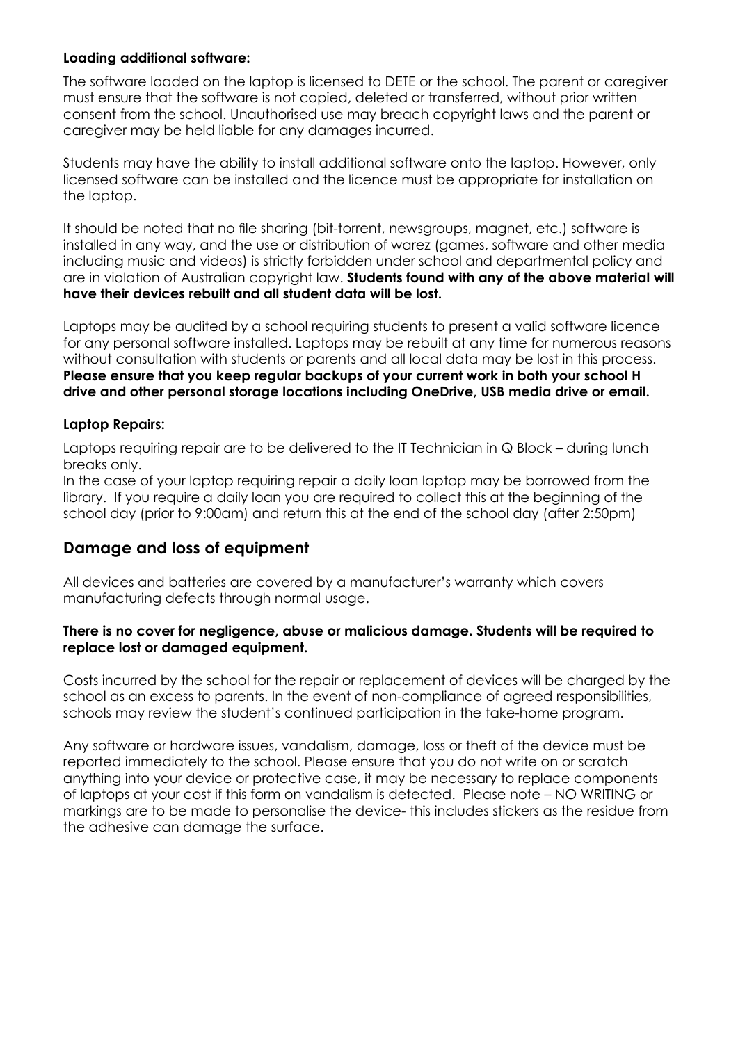#### **Loading additional software:**

The software loaded on the laptop is licensed to DETE or the school. The parent or caregiver must ensure that the software is not copied, deleted or transferred, without prior written consent from the school. Unauthorised use may breach copyright laws and the parent or caregiver may be held liable for any damages incurred.

Students may have the ability to install additional software onto the laptop. However, only licensed software can be installed and the licence must be appropriate for installation on the laptop.

It should be noted that no file sharing (bit-torrent, newsgroups, magnet, etc.) software is installed in any way, and the use or distribution of warez (games, software and other media including music and videos) is strictly forbidden under school and departmental policy and are in violation of Australian copyright law. **Students found with any of the above material will have their devices rebuilt and all student data will be lost.**

Laptops may be audited by a school requiring students to present a valid software licence for any personal software installed. Laptops may be rebuilt at any time for numerous reasons without consultation with students or parents and all local data may be lost in this process. **Please ensure that you keep regular backups of your current work in both your school H drive and other personal storage locations including OneDrive, USB media drive or email.**

#### **Laptop Repairs:**

Laptops requiring repair are to be delivered to the IT Technician in Q Block – during lunch breaks only.

In the case of your laptop requiring repair a daily loan laptop may be borrowed from the library. If you require a daily loan you are required to collect this at the beginning of the school day (prior to 9:00am) and return this at the end of the school day (after 2:50pm)

# **Damage and loss of equipment**

All devices and batteries are covered by a manufacturer's warranty which covers manufacturing defects through normal usage.

#### **There is no cover for negligence, abuse or malicious damage. Students will be required to replace lost or damaged equipment.**

Costs incurred by the school for the repair or replacement of devices will be charged by the school as an excess to parents. In the event of non-compliance of agreed responsibilities, schools may review the student's continued participation in the take-home program.

Any software or hardware issues, vandalism, damage, loss or theft of the device must be reported immediately to the school. Please ensure that you do not write on or scratch anything into your device or protective case, it may be necessary to replace components of laptops at your cost if this form on vandalism is detected. Please note – NO WRITING or markings are to be made to personalise the device- this includes stickers as the residue from the adhesive can damage the surface.